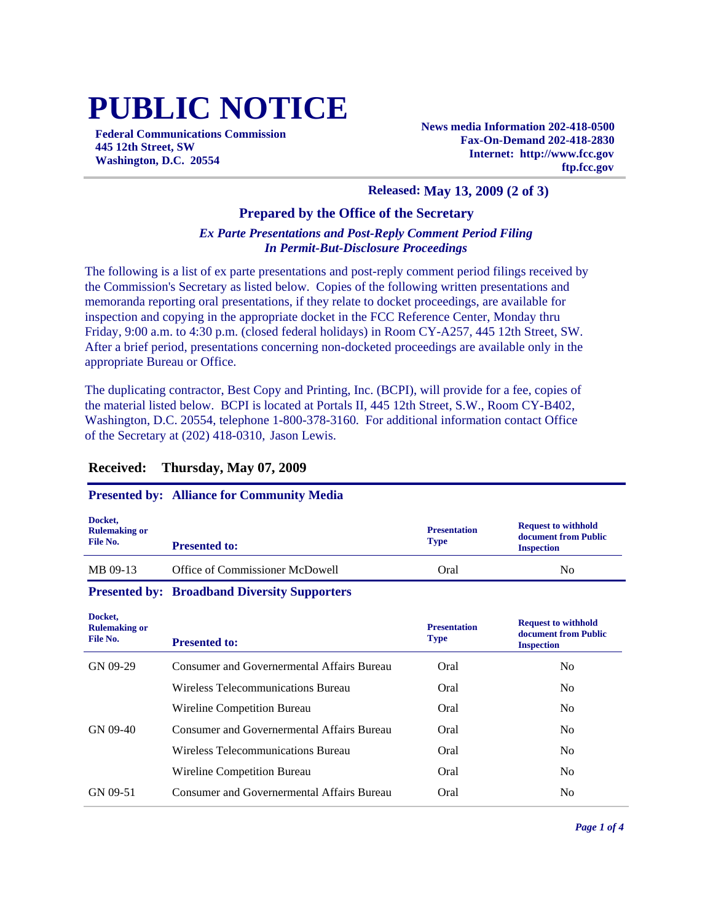# **PUBLIC NOTICE**

**Federal Communications Commission 445 12th Street, SW Washington, D.C. 20554**

**News media Information 202-418-0500 Fax-On-Demand 202-418-2830 Internet: http://www.fcc.gov ftp.fcc.gov**

### **Released: May 13, 2009 (2 of 3)**

#### **Prepared by the Office of the Secretary**

#### *Ex Parte Presentations and Post-Reply Comment Period Filing In Permit-But-Disclosure Proceedings*

The following is a list of ex parte presentations and post-reply comment period filings received by the Commission's Secretary as listed below. Copies of the following written presentations and memoranda reporting oral presentations, if they relate to docket proceedings, are available for inspection and copying in the appropriate docket in the FCC Reference Center, Monday thru Friday, 9:00 a.m. to 4:30 p.m. (closed federal holidays) in Room CY-A257, 445 12th Street, SW. After a brief period, presentations concerning non-docketed proceedings are available only in the appropriate Bureau or Office.

The duplicating contractor, Best Copy and Printing, Inc. (BCPI), will provide for a fee, copies of the material listed below. BCPI is located at Portals II, 445 12th Street, S.W., Room CY-B402, Washington, D.C. 20554, telephone 1-800-378-3160. For additional information contact Office of the Secretary at (202) 418-0310, Jason Lewis.

#### **Received: Thursday, May 07, 2009**

#### **Presented by: Alliance for Community Media**

| Docket,<br><b>Rulemaking or</b><br>File No. | <b>Presented to:</b>            | <b>Presentation</b><br><b>Type</b> | <b>Request to withhold</b><br>document from Public<br><b>Inspection</b> |
|---------------------------------------------|---------------------------------|------------------------------------|-------------------------------------------------------------------------|
| MB 09-13                                    | Office of Commissioner McDowell | Oral                               | N <sub>0</sub>                                                          |

#### **Presented by: Broadband Diversity Supporters**

**Docket,** 

| Docket,<br><b>Rulemaking or</b><br>File No. | <b>Presented to:</b>                              | <b>Presentation</b><br><b>Type</b> | <b>Request to withhold</b><br>document from Public<br><b>Inspection</b> |
|---------------------------------------------|---------------------------------------------------|------------------------------------|-------------------------------------------------------------------------|
| GN 09-29                                    | Consumer and Governermental Affairs Bureau        | Oral                               | No                                                                      |
|                                             | Wireless Telecommunications Bureau                | Oral                               | N <sub>0</sub>                                                          |
|                                             | Wireline Competition Bureau                       | Oral                               | N <sub>0</sub>                                                          |
| GN 09-40                                    | Consumer and Governermental Affairs Bureau        | Oral                               | N <sub>0</sub>                                                          |
|                                             | Wireless Telecommunications Bureau                | Oral                               | N <sub>0</sub>                                                          |
|                                             | Wireline Competition Bureau                       | Oral                               | N <sub>0</sub>                                                          |
| GN 09-51                                    | <b>Consumer and Governermental Affairs Bureau</b> | Oral                               | N <sub>0</sub>                                                          |
|                                             |                                                   |                                    |                                                                         |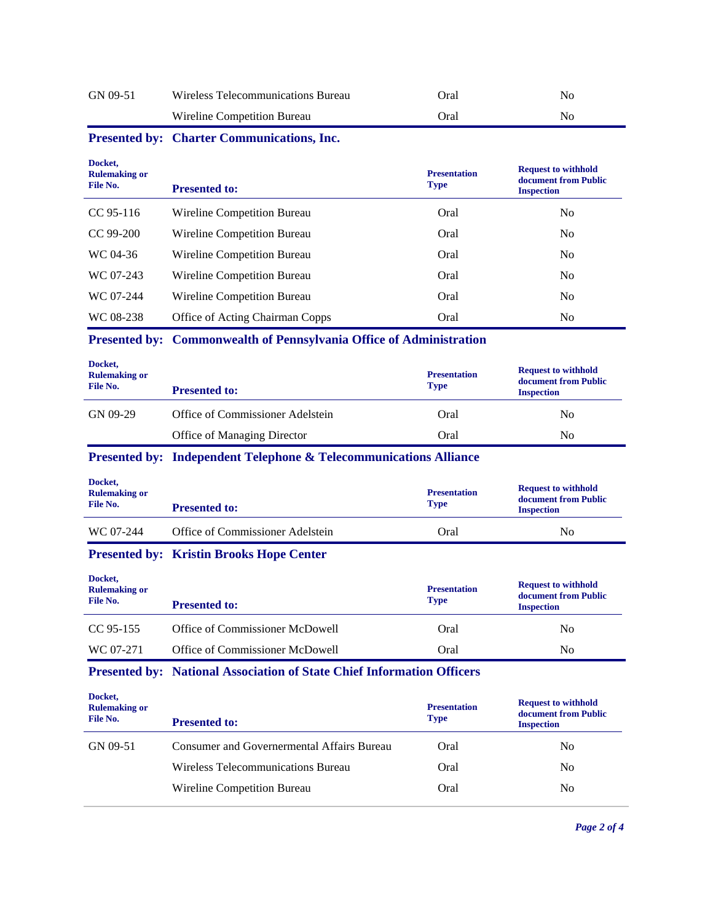| GN 09-51                                    | Wireless Telecommunications Bureau                                           | Oral                               | N <sub>o</sub>                                                          |
|---------------------------------------------|------------------------------------------------------------------------------|------------------------------------|-------------------------------------------------------------------------|
|                                             | Wireline Competition Bureau                                                  | Oral                               | N <sub>0</sub>                                                          |
|                                             | Presented by: Charter Communications, Inc.                                   |                                    |                                                                         |
| Docket,<br><b>Rulemaking or</b><br>File No. | <b>Presented to:</b>                                                         | <b>Presentation</b><br><b>Type</b> | <b>Request to withhold</b><br>document from Public<br><b>Inspection</b> |
| CC 95-116                                   | Wireline Competition Bureau                                                  | Oral                               | N <sub>0</sub>                                                          |
| CC 99-200                                   | Wireline Competition Bureau                                                  | Oral                               | N <sub>0</sub>                                                          |
| WC 04-36                                    | Wireline Competition Bureau                                                  | Oral                               | N <sub>0</sub>                                                          |
| WC 07-243                                   | Wireline Competition Bureau                                                  | Oral                               | No                                                                      |
| WC 07-244                                   | Wireline Competition Bureau                                                  | Oral                               | N <sub>0</sub>                                                          |
| WC 08-238                                   | Office of Acting Chairman Copps                                              | Oral                               | No                                                                      |
|                                             | Presented by: Commonwealth of Pennsylvania Office of Administration          |                                    |                                                                         |
| Docket,<br><b>Rulemaking or</b><br>File No. | <b>Presented to:</b>                                                         | <b>Presentation</b><br><b>Type</b> | <b>Request to withhold</b><br>document from Public<br><b>Inspection</b> |
|                                             |                                                                              |                                    |                                                                         |
| GN 09-29                                    | Office of Commissioner Adelstein                                             | Oral                               | N <sub>o</sub>                                                          |
|                                             | Office of Managing Director                                                  | Oral                               | N <sub>0</sub>                                                          |
|                                             | <b>Presented by: Independent Telephone &amp; Telecommunications Alliance</b> |                                    |                                                                         |
| Docket,<br><b>Rulemaking or</b><br>File No. | <b>Presented to:</b>                                                         | <b>Presentation</b><br><b>Type</b> | <b>Request to withhold</b><br>document from Public<br><b>Inspection</b> |
| WC 07-244                                   | Office of Commissioner Adelstein                                             | Oral                               | No                                                                      |
|                                             | <b>Presented by: Kristin Brooks Hope Center</b>                              |                                    |                                                                         |
| Docket,<br><b>Rulemaking or</b><br>File No. | <b>Presented to:</b>                                                         | <b>Presentation</b><br><b>Type</b> | <b>Request to withhold</b><br>document from Public<br><b>Inspection</b> |
| CC 95-155                                   | Office of Commissioner McDowell                                              | Oral                               | N <sub>o</sub>                                                          |
| WC 07-271                                   | Office of Commissioner McDowell                                              | Oral                               | N <sub>0</sub>                                                          |
|                                             | Presented by: National Association of State Chief Information Officers       |                                    |                                                                         |
| Docket,<br><b>Rulemaking or</b><br>File No. | <b>Presented to:</b>                                                         | <b>Presentation</b><br><b>Type</b> | <b>Request to withhold</b><br>document from Public<br><b>Inspection</b> |
| GN 09-51                                    | <b>Consumer and Governermental Affairs Bureau</b>                            | Oral                               | No                                                                      |
|                                             | Wireless Telecommunications Bureau                                           | Oral                               | No                                                                      |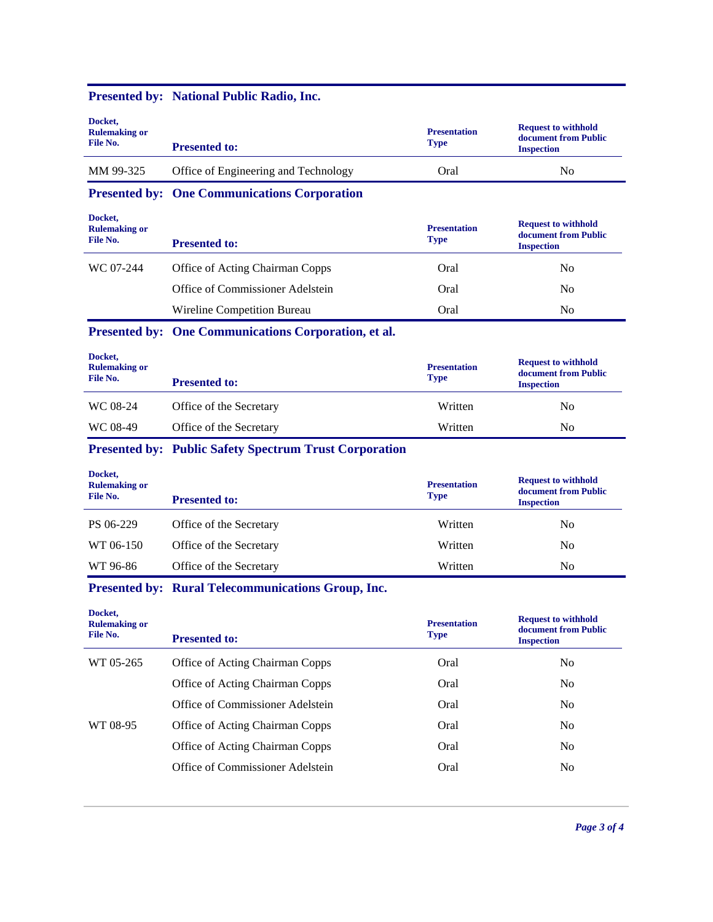| Docket,<br><b>Rulemaking or</b><br>File No. | <b>Presented to:</b>                                          | <b>Presentation</b><br><b>Type</b> | <b>Request to withhold</b><br>document from Public<br><b>Inspection</b> |
|---------------------------------------------|---------------------------------------------------------------|------------------------------------|-------------------------------------------------------------------------|
| MM 99-325                                   | Office of Engineering and Technology                          | Oral                               | N <sub>0</sub>                                                          |
|                                             | <b>Presented by: One Communications Corporation</b>           |                                    |                                                                         |
| Docket,<br><b>Rulemaking or</b><br>File No. | <b>Presented to:</b>                                          | <b>Presentation</b><br><b>Type</b> | <b>Request to withhold</b><br>document from Public<br><b>Inspection</b> |
| WC 07-244                                   | Office of Acting Chairman Copps                               | Oral                               | N <sub>0</sub>                                                          |
|                                             | Office of Commissioner Adelstein                              | Oral                               | N <sub>o</sub>                                                          |
|                                             | Wireline Competition Bureau                                   | Oral                               | N <sub>0</sub>                                                          |
|                                             | Presented by: One Communications Corporation, et al.          |                                    |                                                                         |
| Docket,<br><b>Rulemaking or</b><br>File No. | <b>Presented to:</b>                                          | <b>Presentation</b><br><b>Type</b> | <b>Request to withhold</b><br>document from Public<br><b>Inspection</b> |
| WC 08-24                                    | Office of the Secretary                                       | Written                            | N <sub>0</sub>                                                          |
| WC 08-49                                    | Office of the Secretary                                       | Written                            | No                                                                      |
|                                             | <b>Presented by: Public Safety Spectrum Trust Corporation</b> |                                    |                                                                         |
| Docket,<br><b>Rulemaking or</b><br>File No. | <b>Presented to:</b>                                          | <b>Presentation</b><br><b>Type</b> | <b>Request to withhold</b><br>document from Public<br><b>Inspection</b> |
| PS 06-229                                   | Office of the Secretary                                       | Written                            | N <sub>0</sub>                                                          |
| WT 06-150                                   | Office of the Secretary                                       | Written                            | N <sub>0</sub>                                                          |
| WT 96-86                                    | Office of the Secretary                                       | Written                            | N <sub>0</sub>                                                          |
|                                             | <b>Presented by: Rural Telecommunications Group, Inc.</b>     |                                    |                                                                         |
| Docket,<br><b>Rulemaking or</b><br>File No. | <b>Presented to:</b>                                          | <b>Presentation</b><br><b>Type</b> | <b>Request to withhold</b><br>document from Public<br><b>Inspection</b> |
| WT 05-265                                   | Office of Acting Chairman Copps                               | Oral                               | No                                                                      |
|                                             | Office of Acting Chairman Copps                               | Oral                               | No                                                                      |
|                                             | Office of Commissioner Adelstein                              | Oral                               | N <sub>0</sub>                                                          |
| WT 08-95                                    | Office of Acting Chairman Copps                               | Oral                               | N <sub>0</sub>                                                          |
|                                             | Office of Acting Chairman Copps                               | Oral                               | No                                                                      |
|                                             | Office of Commissioner Adelstein                              | Oral                               | No                                                                      |
|                                             |                                                               |                                    |                                                                         |

# **Presented by: National Public Radio, Inc.**